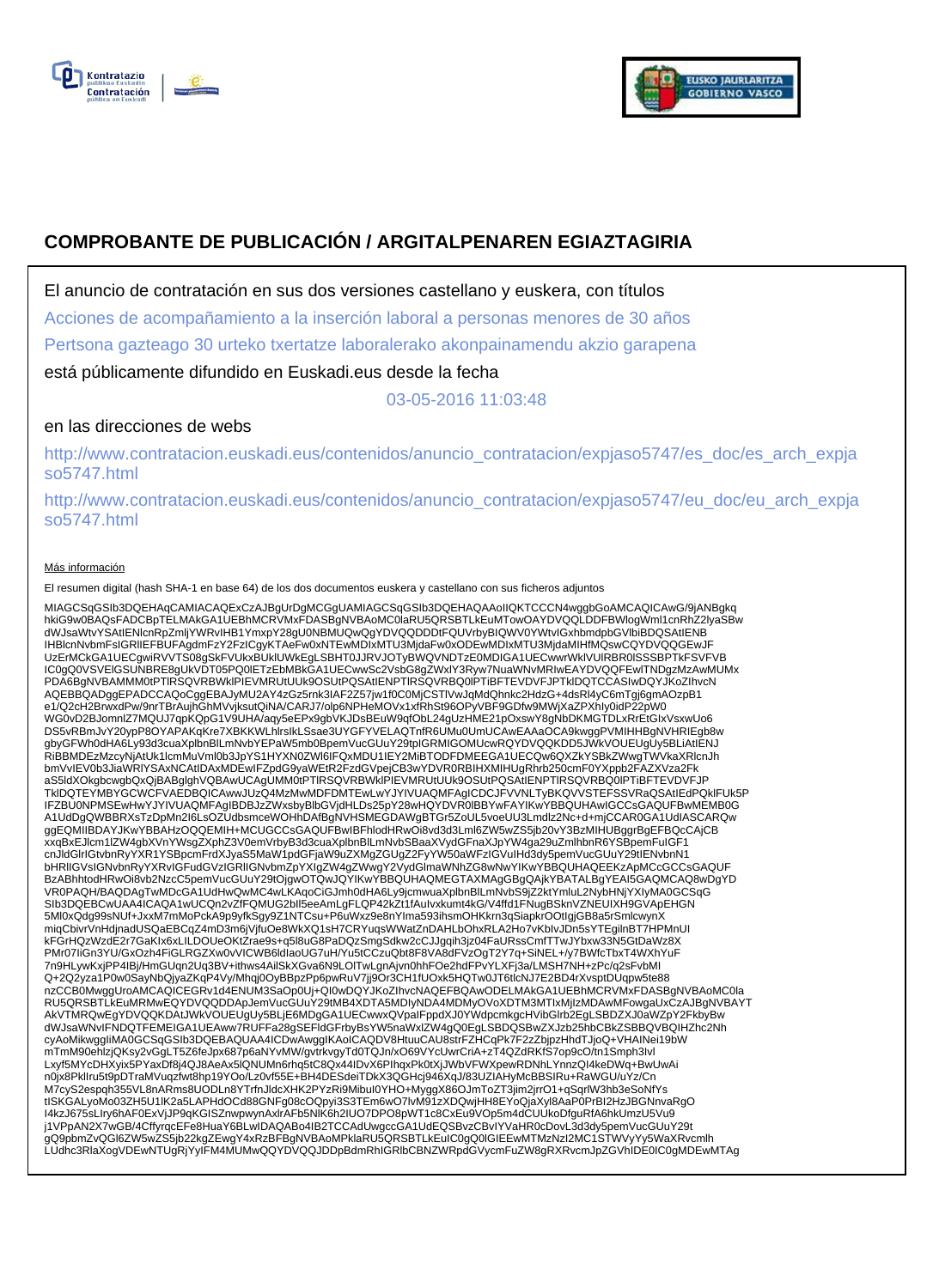



# **COMPROBANTE DE PUBLICACIÓN / ARGITALPENAREN EGIAZTAGIRIA**

El anuncio de contratación en sus dos versiones castellano y euskera, con títulos

Acciones de acompañamiento a la inserción laboral a personas menores de 30 años

Pertsona gazteago 30 urteko txertatze laboralerako akonpainamendu akzio garapena

está públicamente difundido en Euskadi.eus desde la fecha

03-05-2016 11:03:48

# en las direcciones de webs

http://www.contratacion.euskadi.eus/contenidos/anuncio\_contratacion/expjaso5747/es\_doc/es\_arch\_expja so5747.html

http://www.contratacion.euskadi.eus/contenidos/anuncio\_contratacion/expjaso5747/eu\_doc/eu\_arch\_expja so5747.html

### Más información

El resumen digital (hash SHA-1 en base 64) de los dos documentos euskera y castellano con sus ficheros adjuntos

MIAGCSqGSIb3DQEHAqCAMIACAQExCzAJBgUrDgMCGgUAMIAGCSqGSIb3DQEHAQAAoIIQKTCCCN4wggbGoAMCAQICAwG/9jANBgkq<br>hkiG9w0BAQsFADCBpTELMAkGA1UEBhMcRVMxFDASBgNVBAoMC0laRU5QR5BTLkEuMTowOAYDVQQLDDFBWIogIWmI1cnRhZ2lyaSBw<br>dWJsaWtvYSAtIENIcnR UzErMCkGA1UECgwiRVVTS08gSkFVUkxBUklUWkEgLSBHT0JJRVJOTyBWQVNDTzE0MDIGA1UECwwrWklVUlRBR0lSSSBPTkFSVFVB IC0gQ0VSVElGSUNBRE8gUkVDT05PQ0lETzEbMBkGA1UECwwSc2VsbG8gZWxlY3Ryw7NuaWNvMRIwEAYDVQQFEwlTNDgzMzAwMUMx PDA6BgNVBAMMM0tPTlRSQVRBWklPIEVMRUtUUk9OSUtPQSAtIENPTlRSQVRBQ0lPTiBFTEVDVFJPTklDQTCCASIwDQYJKoZIhvcN AQEBBQADggEPADCCAQoCggEBAJyMU2AY4zGz5rnk3IAF2Z57jw1f0C0MjCSTlVwJqMdQhnkc2HdzG+4dsRl4yC6mTgj6gmAOzpB1 e1/Q2cH2BrwxdPw/9nrTBrAujhGhMVvjksutQiNA/CARJ7/olp6NPHeMOVx1xfRhSt96OPyVBF9GDfw9MWjXaZPXhIy0idP22pW0<br>WG0vD2BJomnlZ7MQUJ7qpKQpG1V9UHA/aqy5eEPx9gbVKJDsBEuW9qfObL24gUzHME21pOxswY8gNbDKMGTDLxRrEtGIxVsxwUo6 DS5vRBmJvY20ypP8OYAPAKqKre7XBKKWLhIrsIkLSsae3UYGFYVELAQTnfR6UMu0UmUCAwEAAaOCA9kwggPVMIHHBgNVHRIEgb8w<br>gbyGFWh0dHA6Ly93d3cuaXplbnBlLmNvbYEPaW5mb0BpemVucGUuY29tpIGRMIGOMUcwRQYDVQQKDD5JWkVOUEUgUy5BLiAtIENJ<br>RiBBMDEzMzcyNjAtUk1I bmVvIEV0b3JiaWRlYSAxNCAtIDAxMDEwIFZpdG9yaWEtR2FzdGVpejCB3wYDVR0RBIHXMIHUgRhrb250cmF0YXppb2FAZXVza2Fk aS5ldXOkgbcwgbQxQjBABglghVQBAwUCAgUMM0tPTlRSQVRBWklPIEVMRUtUUk9OSUtPQSAtIENPTlRSQVRBQ0lPTiBFTEVDVFJP TklDQTEYMBYGCWCFVAEDBQICAwwJUzQ4MzMwMDFDMTEwLwYJYIVUAQMFAgICDCJFVVNLTyBKQVVSTEFSSVRaQSAtIEdPQklFUk5P IFZBU0NPMSEwHwYJYIVUAQMFAgIBDBJzZWxsbyBlbGVjdHLDs25pY28wHQYDVR0lBBYwFAYIKwYBBQUHAwIGCCsGAQUFBwMEMB0G<br>A1UdDgQWBBRXsTzDpMn2l6LsOZUdbsmceWOHhDAfBgNVHSMEGDAWgBTGr5ZoUL5voeUU3Lmdlz2Nc+d+mjCCAR0GA1UdIASCARQw<br>ggEQMIIBDAYJKwYBBAHz xxqBxEJlcm1lZW4gbXVnYWsgZXphZ3V0emVrbyB3d3cuaXplbnBlLmNvbSBaaXVydGFnaXJpYW4ga29uZmlhbnR6YSBpemFuIGF1 cnJldGlrIGtvbnRyYXR1YSBpcmFrdXJyaS5MaW1pdGFjaW9uZXMgZGUgZ2FyYW50aWFzIGVuIHd3dy5pemVucGUuY29tIENvbnN1 bHRlIGVsIGNvbnRyYXRvIGFudGVzIGRlIGNvbmZpYXIgZW4gZWwgY2VydGlmaWNhZG8wNwYIKwYBBQUHAQEEKzApMCcGCCsGAQUF BzABhhtodHRwOi8vb2NzcC5pemVucGUuY29tOjgwOTQwJQYIKwYBBQUHAQMEGTAXMAgGBgQAjkYBATALBgYEAI5GAQMCAQ8wDgYD VR0PAQH/BAQDAgTwMDcGA1UdHwQwMC4wLKAqoCiGJmh0dHA6Ly9jcmwuaXplbnBlLmNvbS9jZ2ktYmluL2NybHNjYXIyMA0GCSqG SIb3DQEBCwUAA4ICAQA1wUCQn2vZfFQMUG2bll5eeAmLgFLQP42kZt1fAuIvxkumt4kG/V4ffd1FNugBSknVZNEUIXH9GVApEHGN<br>5Ml0xQdg99sNUf+JxxM7mMoPckA9p9yfkSgy9Z1NTCsu+P6uWxz9e8nYIma593ihsmOHKkrn3qSiapkrOOtIgjGB8a5rSmlcwynX miqCbivrVnHdjnadUSQaEBCqZ4mD3m6jVjfuOe8WkXQ1sH7CRYuqsWWatZnDAHLbOhxRLA2Ho7vKbIvJDn5sYTEgilnBT7HPMnUI kFGrHQzWzdE2r7GaKIx6xLILDOUeOKtZrae9s+q5l8uG8PaDQzSmgSdkw2cCJJgqih3jz04FaURssCmfTTwJYbxw33N5GtDaWz8X PMr07IiGn3YU/GxOzh4FiGLRGZXw0vVICWB6ldIaoUG7uH/Yu5tCCzuQbt8F8VA8dFVzOgT2Y7q+SiNEL+/y7BWfcTbxT4WXhYuF 7n9HLywKxjPP4IBj/HmGUqn2Uq3BV+ithws4AilSkXGva6N9LOlTwLgnAjvn0hhFOe2hdFPvYLXFj3a/LMSH7NH+zPc/q2sFvbMI Q+2Q2yza1P0w0SayNbQjyaZKqP4Vy/Mhqj0OyBBpzPp6pwRuV7jj9Or3CH1fUOxk5HQTw0JT6tlcNJ7E2BD4rXvsptDUqpw5te88 nzCCB0MwggUroAMCAQICEGRv1d4ENUM3SaOp0Uj+QI0wDQYJKoZIhvcNAQEFBQAwODELMAkGA1UEBhMCRVMxFDASBgNVBAoMC0la RU5QRSBTLkEuMRMwEQYDVQQDDApJemVucGUuY29tMB4XDTA5MDIyNDA4MDMyOVoXDTM3MTIxMjIzMDAwMFowgaUxCzAJBgNVBAYT AkVTMRQwEgYDVQQKDAtJWkVOUEUgUy5BLjE6MDgGA1UECwwxQVpaIFppdXJ0YWdpcmkgcHVibGlrb2EgLSBDZXJ0aWZpY2FkbyBw<br>dWJsaWNvIFNDQTFEMEIGA1UEAww7RUFFa28gSEFIdGFrbyBsYW5naWxlZW4gQ0EgLSBDQSBwZXJzb25hbCBkZSBBQVBQIHZhc2Nh<br>cyAoMikwggliMA0GCSqG mTmM90ehlzjQKsy2vGgLT5Z6feJpx687p6aNYvMW/gvtrkvgyTd0TQJn/xO69VYcUwrCriA+zT4QZdRKfS7op9cO/tn1Smph3Ivl Lxyf5MYcDHXyix5PYaxDf8j4QJ8AeAx5lQNUMn6rhq5tC8Qx44IDvX6PIhqxPk0tXjJWbVFWXpewRDNhLYnnzQI4keDWq+BwUwAi n0jx8PklIru5t9pDTraMVuqzfwt8hp19YOo/Lz0vf55E+BH4DESdeiTDkX3QGHcj946XqJ/83UZIAHyMcBBSIRu+RaWGU/uYz/Cn M7cyS2espqh355VL8nARms8UODLn8YTrfnJldcXHK2PYzRi9MibuI0YHO+MyggX86OJmToZT3jim2jrrO1+qSqrlW3hb3eSoNfYs<br>tISKGALyoMo03ZH5U1IK2a5LAPHdOCd88GNFg08cOQpyi3S3TEm6wO7lvM91zXDQwjHH8EYoQjaXyI8AaP0PrBI2HzJBGNnvaRgO<br>I4kzJ675sLIry6hAF0Ex j1VPpAN2X7wGB/4CffyrqcEFe8HuaY6BLwIDAQABo4IB2TCCAdUwgccGA1UdEQSBvzCBvIYVaHR0cDovL3d3dy5pemVucGUuY29t<br>gQ9pbmZvQGI6ZW5wZS5jb22kgZEwgY4xRzBFBgNVBAoMPklaRU5QRSBTLkEuIC0gQ0IGIEEwMTMzNzI2MC1STWVyYy5WaXRvcmlh<br>LUdhc3RlaXogVDEwNTUg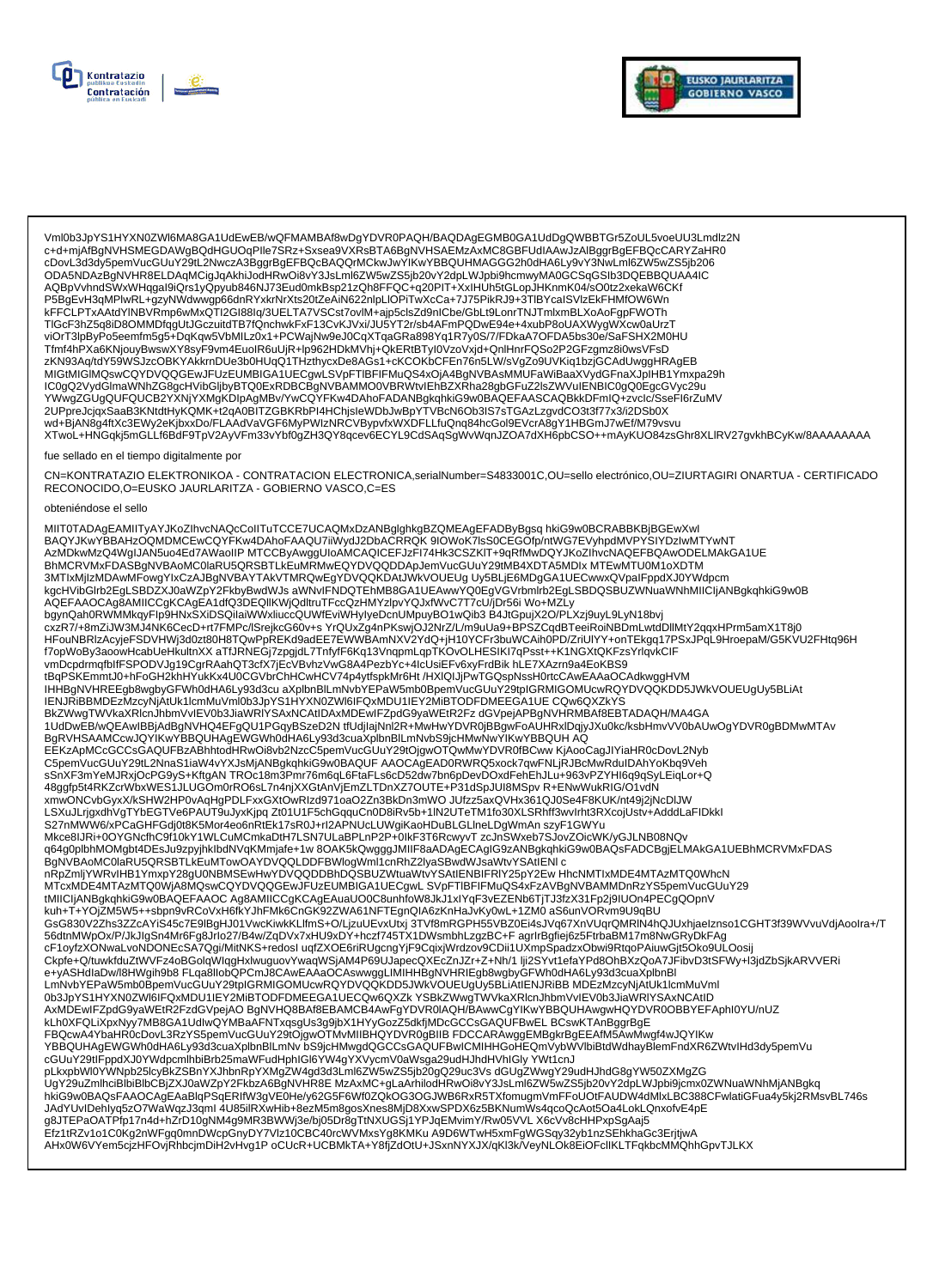



Vml0b3JpYS1HYXN0ZWl6MA8GA1UdEwEB/wQFMAMBAf8wDgYDVR0PAQH/BAQDAgEGMB0GA1UdDgQWBBTGr5ZoUL5voeUU3Lmdlz2N<br>c+d+mjAfBgNVHSMEGDAWgBQdHGUOqPIle7SRz+Sxsea9VXRsBTA6BgNVHSAEMzAxMC8GBFUdIAAwJzAlBggrBgEFBQcCARYZaHR0 cDovL3d3dy5pemVucGUuY29tL2NwczA3BggrBgEFBQcBAQQrMCkwJwYlKwYBBQUHMAGGG2h0dHA6Ly9vY3NwLml6ZW5wZS5jb206 ODA5NDAzBgNVHR8ELDAqMCigJqAkhiJodHRwOi8vY3JsLml6ZW5wZS5jb20vY2dpLWJpbi9hcmwyMA0GCSqGSIb3DQEBBQUAA4IC AQBpVvhndSWxWHqgal9iQrs1yQpyub846NJ73Eud0mkBsp21zQh8FFQC+q20PIT+XxIHUh5tGLopJHKnmK04/sO0tz2xekaW6CKf P5BgEvH3qMPlwRL+gzyNWdwwgp66dnRYxkrNrXts20tZeAiN622nlpLlOPiTwXcCa+7J75PikRJ9+3TlBYcaISVlzEkFHMfOW6Wn kFFCLPTxAAtdYINBVRmp6wMxQTI2GI88lq/3UELTA7VSCst7ovlM+ajp5clsZd9nICbe/GbLt9LonrTNJTmlxmBLXoAoFgpFWOTh<br>TIGcF3hZ5q8iD8OMMDfqgUtJGczuitdTB7fQnchwkFxF13CvKJVxi/JU5YT2r/sb4AFmPQDwE94e+4xubP8oUAXWygWXcw0aUrzT 11001 SilzbyPoSeemfm5g5+DqKqw5VbMILz0x1+PCWajNw9eJ0CqXTqaGRa898Yq1R7y0S/7/FDkaA7OFDA5bs30e/SaFSHX2M0HU<br>Tfmf4hPXa6KNjouyBwswXY8syF9vm4EuoIR6uUjR+lp962HDkMVhj+QkERtBTyI0VzoVxjd+QnlHnrFQSo2P2GFzgmz8i0wsVFsD zKN93Aq/tdY59WSJzcOBKYAKkrnDUe3b0HUqQ1THzthycxDe8AGs1+cKCOKbCFEn76n5LW/sVgZo9UVKiq1bzjGCAdUwggHRAgEB MIGtMIGIMQswCQYDVQQGEwJFUzEUMBIGA1UECgwLSVpFTIBFIFMuQS4xOjA4BgNVBAsMMUFaWiBaaXVydGFnaXJpIHB1Ymxpa29h IC0gQ2VydGlmaWNhZG8gcHVibGljbyBTQ0ExRDBCBgNVBAMMO0VBRWtvlEhBZXRha28gbGFuZ2lsZWVuIENBIC0gQ0EgcGVyc29u YWwgZGUgQUFQUCB2YXNjYXMgKDIpAgMBv/YwCQYFKw4DAhoFADANBgkqhkiG9w0BAQEFAASCAQBkkDFmlQ+zvclc/SseFl6rZuMV 2UPpreJcjqxSaaB3KNtdtHyKQMK+t2qA0BITZGBKRbPl4HChjsleWDbJwBpYTVBcN6Ob3IS7sTGAzLzgvdCO3t3f77x3/i2DSb0X<br>wd+BjAN8g4ftXc3EWy2eKjbxxDo/FLAAdVaVGF6MyPWIzNRCVBypvfxWXDFLLfuQnq84hcGol9EVcrA8gY1HBGmJ7wEf/M79vsvu XTwoL+HNGqkj5mGLLf6BdF9TpV2AyVFm33vYbf0gZH3QY8qcev6ECYL9CdSAqSgWvWqnJZOA7dXH6pbCSO++mAyKUO84zsGhr8XLlRV27gvkhBCyKw/8AAAAAAAA

#### fue sellado en el tiempo digitalmente por

CN=KONTRATAZIO ELEKTRONIKOA - CONTRATACION ELECTRONICA,serialNumber=S4833001C,OU=sello electrónico,OU=ZIURTAGIRI ONARTUA - CERTIFICADO RECONOCIDO, O=EUSKO JAURLARITZA - GOBIERNO VASCO, C=ES

#### obteniéndose el sello

MIIT0TADAgEAMIITyAYJKoZIhvcNAQcCoIITuTCCE7UCAQMxDzANBglghkgBZQMEAgEFADByBgsq hkiG9w0BCRABBKBjBGEwXwl BAQYJKwYBBAHzOQMDMCEwCQYFKw4DAhoFAAQU7iiWydJ2DbACRRQK9IOWoK7IsS0CEGOfp/ntWG7EVyhpdMVPYSIYDzIwMTYwNT AzMDkwMzQ4WgIJAN5uo4Ed7AWaoIIP MTCCByAwggUIoAMCAQICEFJzFI74Hk3CSZKIT+9qRfMwDQYJKoZIhvcNAQEFBQAwODELMAkGA1UE BhMCRVMxFDASBgNVBAoMC0laRU5QRSBTLkEuMRMwEQYDVQQDDApJemVucGUuY29tMB4XDTA5MDIx MTEwMTU0M1oXDTM 3MTIxMjIzMDAwMFowgYIxCzAJBgNVBAYTAkVTMRQwEgYDVQQKDAtJWkVOUEUg Uy5BLjE6MDgGA1UECwwxQVpaIFppdXJ0YWdpcm Sin'i Awar III May INCOLLATE AND THE MAN INTERNATIONAL TRANSPORT OF THE MAN INCOLLETE AND A MANUST A THE MAN I<br>AQEFAAOCAg8AMIICCgKCAgEA1dfQ3DEQIIKWjQdltruTFccQzHMYzlpvYQJxfWvC7T7cU/jDr56i Wo+MZLy<br>bgynQah0RWMMkqyFlp9HNxSXiD HFouNBRIzAcyjeFSDVHWj3d0zt80H8TQwPpREKd9adEE7EWWBAmNXV2YdQ+jH10YCFr3buWCAih0PD/ZriUlYY+onTEkgq17PSxJPqL9HroepaM/G5KVU2FHtq96H f7opWoBy3aoowHcabUeHKultnXX aTfJRNEGj7zpgjdL7TnfyfF6Kq13VnqpmLqpTKOvOLHESIKI7qPsst++K1NGXtQKFzsYrlqvkCIF vmDcpdrmqfblfFSPODVJg19CgrRAahQT3cfX7jEcVBvhzVwG8A4PezbYc+4lcUsiEFv6xyFrdBik hLE7XAzrn9a4EoKBS9 tBqPSKEmmtJ0+hFoGH2KhHYukKx4U0CGVbrChHCwHCV74p4ytfspkMr6Ht /HXIQIJjPwTGQspNssH0rtcCAwEAAaOCAdkwggHVM THE BONUT THE CONDUCTED AND THE CONDUCTED TO A MANUSCRIPT OF THE CONDUCTED TO A MANUTED SURFACT THE CONDUCTED SURFACT DURING ONLY AND THE CONDUCTED SURFACT DURING ONLY AND THE CONDUCTED SURFACT DURING ONLY AND THE CONDUCTE BkZWwqTWVkaXRIcnJhbmVvIEV0b3JiaWRIYSAxNCAtIDAxMDEwIFZpdG9yaWEtR2FzdGVpejAPBqNVHRMBAf8EBTADAQH/MA4GA 1UdDwEB/wQEAwIBBjAdBgNVHQ4EFgQU1PGqyBSzeD2N tfUdjlajNnl2R+MwHwYDVR0jBBgwFoAUHRxlDqjyJXu0kc/ksbHmvVV0bAUwOgYDVR0gBDMwMTAv BgRVHSAAMCcwJQYIKwYBBQUHAgEWGWh0dHA6Ly93d3cuaXplbnBlLmNvbS9jcHMwNwYIKwYBBQUHAQ EEKzApMCcGCCsGAQUFBzABhhtodHRwOi8vb2NzcC5pemVucGUuY29tOjgwOTQwMwYDVR0fBCww KjAooCagJlYiaHR0cDovL2Nyb C5pemVucGUuY29tL2NnaS1iaW4vYXJsMjANBgkqhkiG9w0BAQUF AAOCAgEAD0RWRQ5xock7qwFNLjRJBcMwRduIDAhYoKbq9Veh sSnXF3mYeMJRxjOcPG9yS+KftgAN TROc18m3Pmr76m6qL6FtaFLs6cD52dw7bn6pDevDOxdFehEhJLu+963vPZYHl6q9qSyLEiqLor+Q 48ggfp5t4RKZcrWbxWES1JLUGOm0rRO6sL7n4njXXGtAnVjEmZLTDnXZ7OUTE+P31dSpJUl8MSpv R+ENwWukRIG/O1vdN<br>xmwONCvbGyxX/kSHW2HP0vAqHgPDLFxxGXtOwRIzd971oaO2Zn3BkDn3mWOJUfzz5axQVHx361QJ0Se4F8KUK/nt49j2jNcDlJW kim/ooks/www.marchive.html/www.marchive.html/html/books/www.marchive.html/www.com/www.marchive.html<br>S27nMWW6/xPCaGHFGdj0t8K5Mor4eo6nRtEk17sR0J+rl2APNUcLUWgiKaoHDuBLGLIneLDgWmAn szyF1GWYu Mkce8IJRi+0OYGNcfhC9f10kY1WLCuMCmkaDtH7LSN7ULaBPLnP2P+0lkF3T6RcwyvTzcJnSWxeb7SJovZOicWK/yGJLNB08NQv q64g0plbhMOMgbt4DEsJu9zpyjhklbdNVqKMmjafe+1w 8OAK5kQwgggJMIIF8aADAgECAgIG9zANBgkqhkiG9w0BAQsFADCBgjELMAkGA1UEBhMCRVMxFDAS BgNVBAoMC0laRU5QRSBTLKEuMTowOAYDVQQLDDFBWlogWmI1cnRhZ2lyaSBwdWJsaWtvYSAtIENIc nRpZmljYWRvIHB1YmxpY28gU0NBMSEwHwYDVQQDDBhDQSBUZWtuaWtvYSAtIENBIFRIY25pY2Ew HhcNMTIxMDE4MTAzMTQ0WhcN kuh+T+YOjZM5W5++sbpn9vRCoVxH6fkYJhFMk6CnGK92ZWA61NFTEqnQIA6zKnHaJvKy0wL+1ZM0 aS6unVORvm9U9qBU GsG830V2Zhs3ZZcAYiS45c7E9lBgHJ01VwcKiwkKLIfmS+O/LjzuUEvxUtxj 3TVf8mRGPH55VBZ0Ei4sJVq67XnVUqrQMRIN4hQJUxhjaeIznso1CGHT3f39WVvuVdjAooIra+/T 56dtnMWpOx/P/JkJlgSn4Mr6Fg8Jrlo27/B4w/ZqDVx7xHU9xDY+hczf745TX1DWsmbhLzgzBC+FagrlrBgfiej6z5FtrbaBM17m8NwGRyDkFAg cF1oyfzXONwaLvoNDONEcSA7Qgi/MitNKS+redosl uqfZXOE6riRUgcngYjF9CqixjWrdzov9CDii1UXmpSpadzxObwi9RtqoPAiuwGjt5Oko9ULOosij Ckpfe+Q/tuwkfduZtWVFz4oBGolqWllqgHxlwuguovYwaqWSjAM4P69UJapecQXEcZnJZr+Z+Nh/1 lji2SYvt1efaYPd8OhBXzQoA7JFibvD3tSFWy+l3jdZbSjkARVVERi<br>e+yASHdlaDw/l8HWgih9b8 FLqa8llobQPCmJ8CAwEAAaOCAswwggLIMIHHBgNVHRIEgb8wgbyGFWh0dHA6Ly93d3 ery.com/about/with the magnitude of the community of the state of the community of the community of the community of the community of the community of the community of the community of the community of the community of the FBQcwA4YbaHR0cDovL3RzYS5pemVucGUuY29tOjgwOTMvMIIBHQYDVR0gBIIB FDCCARAwggEMBgkrBgEEAfM5AwMwgf4wJQYIKw YBBQUHAgEWGWh0dHA6Ly93d3cuaXplbnBlLmNv bS9jcHMwgdQGCCsGAQUFBwICMIHHGoHEQmVybWVlbiBtdWdhayBlemFndXR6ZWtvlHd3dy5pemVu COUNTRACTIVITY AND COUNTRACTIVITY CONTRACTIVITY OF COUNTRACTIVITY INTO THE COUNTRACTIVITY INTO THE COUNTRACTIVITY OF COUNTRACTIVITY INTO THE PRODUCT OF A UNIT AND COUNTRACTIVITY OF THE PRODUCT OF A UNIT OF THE PRODUCT OF A g8JTEPaOATPfp17n4d+hZrD10gNM4g9MR3BWWj3e/bj05Dr8gTtNXUGSj1YPJqEMvimY/Rw05VVLX6cVv8cHHPxpSgAaj5 Efz1tRZv1o1C0Kg2nWFgq0mnDWcpGnyDY7Vlz10CBC40rcWVMxsYg8KMKu A9D6WTwH5xmFgWGSqy32yb1nzSEhkhaGc3ErjtjwA AHx0W6VYem5cjzHFOvjRhbcjmDiH2vHvg1PoCUcR+UCBMkTA+Y8fjZdOtU+JSxnNYXJX/qKl3kVeyNLOk8EiOFclIKLTFqkbcMMQhhGpvTJLKX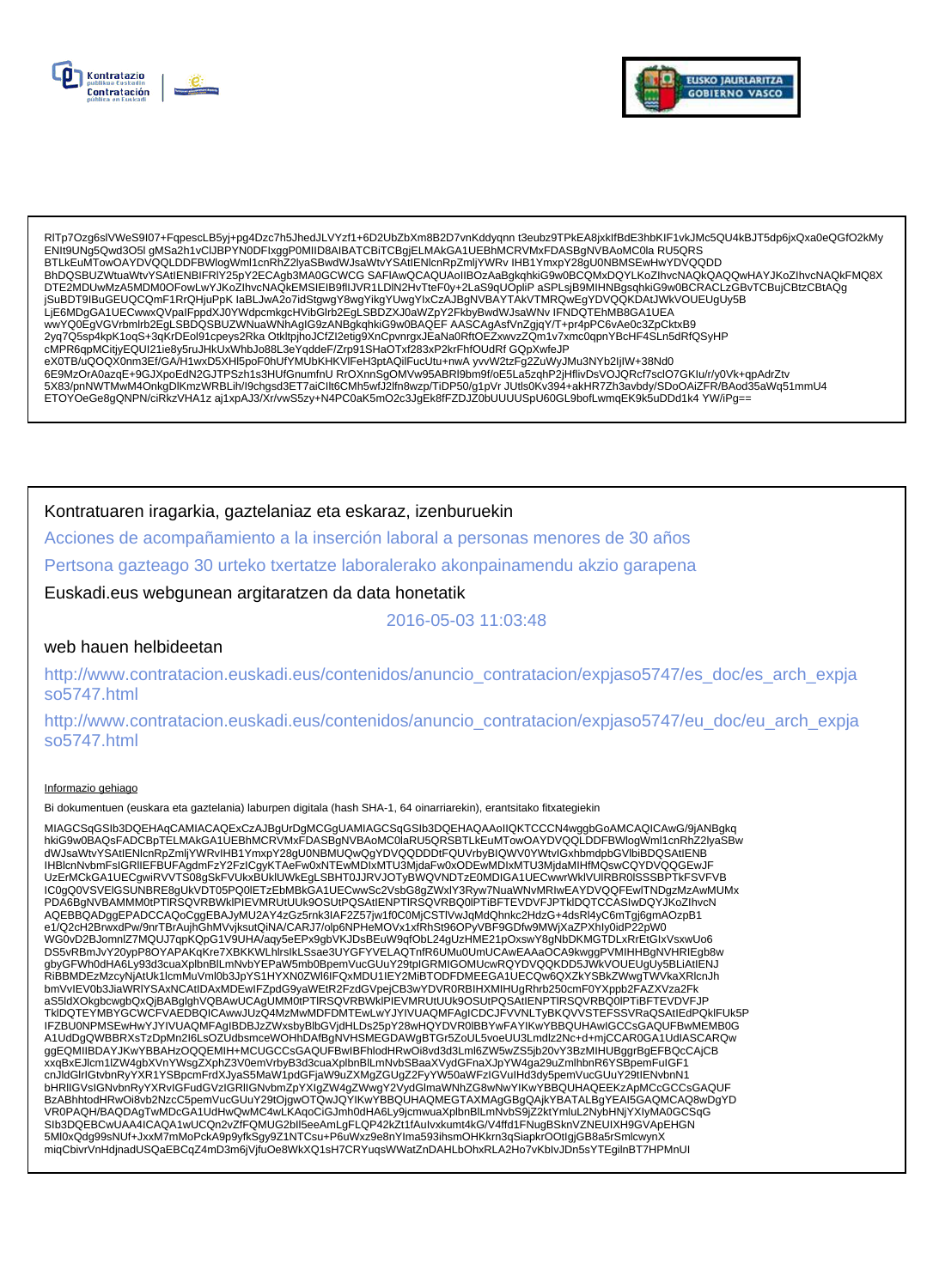



RITp7Ozg6slVWeS9l07+FqpescLB5yj+pg4Dzc7h5JhedJLVYzf1+6D2UbZbXm8B2D7vnKddyqnn t3eubz9TPkEA8jxklfBdE3hbKIF1vkJMc5QU4kBJT5dp6jxQxa0eQGfO2kMy<br>ENIt9UNg5Qwd3O5I gMSa2h1vCIJBPYN0DFIxggP0MIID8AIBATCBiTCBgjELMAkGA1UEBhMCRVMxFDASBgN BTLkEuMTowOAYDVQQLDDFBWlogWml1cnRhZ2lyaSBwdWJsaWtvYSAtlENlcnRpZmljYWRvIHB1YmxpY28gU0NBMSEwHwYDVQQDD BhDQSBUZWtuaWtvYSAtIENBIFRIY25pY2ECAgb3MA0GCWCG SAFIAwQCAQUAoIIBOzAaBgkqhkiG9w0BCQMxDQYLKoZIhvcNAQkQAQQwHAYJKoZIhvcNAQkFMQ8X DTE2MDUwMzA5MDM0OFowLwYJKoZlhvcNAQkEMSIEIB9fIIJVR1LDIN2HvTteF0y+2LaS9qUOpliPaSPLsjB9MIHNBgsqhkiG9w0BCRACLzGBvTCBujCBtzCBtAQg jSuBDT9IBuGEUQCQmF1RrQHjuPpK laBLJwA2o7idStgwgY8wgYikgYUwgYIxCzAJBgNVBAYTAkVTMRQwEgYDVQQKDAtJWkVOUEUgUy5B LJE6MDgGA1UECwwxQVpalFppdXJ0YWdpcmkgcHVibGlrb2EgLSBDZXJ0aWZpY2FkbyBwdWJsaWNv IFNDQTEhMB8GA1UEA<br>wwYQ0EgVGVrbmlrb2EgLSBDQSBUZWNuaWNhAgIG9zANBgkqhkiG9w0BAQEF AASCAgAsfVnZgjqY/T+pr4pPC6vAe0c3ZpCktxB9 eX0TB/uQOQX0nm3Ef/GA/H1wxD5XHl5poF0hUfYMUbKHKVIFeH3ptAQilFucUtu+nwA yvvW2tzFg2ZuWyJMu3NYb2IjIW+38Nd0 6E9MzOrA0azqE+9GJXpoEdN2GJTPSzh1s3HUfGnumfnU RrOXnnSgOMVw95ABRl9bm9f/oE5La5zqhP2jHflivDsVOJQRcf7sclO7GKIu/r/y0Vk+qpAdrZtv 5X83/pnNWTMwM4OnkgDlKmzWRBLih/l9chgsd3ET7aiCllt6CMh5wfJ2lfn8wzp/TiDP50/g1pVrJUtls0Kv394+akHR7Zh3avbdy/SDoOAiZFR/BAod35aWq51mmU4 ETOYOeGe8gQNPN/ciRkzVHA1z aj1xpAJ3/Xr/vwS5zy+N4PC0aK5mO2c3JgEk8fFZDJZ0bUUUUSpU60GL9bofLwmqEK9k5uDDd1k4YW/iPg==

Kontratuaren iragarkia, gaztelaniaz eta eskaraz, izenburuekin

Acciones de acompañamiento a la inserción laboral a personas menores de 30 años

Pertsona gazteago 30 urteko txertatze laboralerako akonpainamendu akzio garapena

Euskadi.eus webgunean argitaratzen da data honetatik

## 2016-05-03 11:03:48

### web hauen helbideetan

http://www.contratacion.euskadi.eus/contenidos/anuncio contratacion/expjaso5747/es doc/es arch expja so5747.html

http://www.contratacion.euskadi.eus/contenidos/anuncio\_contratacion/expjaso5747/eu\_doc/eu\_arch\_expja so5747.html

### Informazio gehiago

Bi dokumentuen (euskara eta gaztelania) laburpen digitala (hash SHA-1, 64 oinarriarekin), erantsitako fitxategiekin

MIAGCSqGSIb3DQEHAqCAMIACAQExCzAJBgUrDgMCGgUAMIAGCSqGSIb3DQEHAQAAoIIQKTCCCN4wggbGoAMCAQICAwG/9jANBgkq hkiG9w0BAQsFADCBpTELMAkGA1UEBhMCRVMxFDASBgNVBAoMC0laRU5QRSBTLkEuMTowOAYDVQQLDDFBWlogWml1cnRhZ2lyaSBw dWJsaWtvYSAtIENIcnRpZmjYWRvIHB1YmxpY28gU0NBMUQwQgYDVQQDDDtFQUVrbyBIQWV0YWtvIGxhbmdpbGVIbiBDQSAtIENB IHBlcnNvbmFsiGRIIEFBUFAgdmFzY2FzICgyKTAeFw0xNTEwMDIxMTU3MjdaFw0xODEwMDIxMTU3MjdaMIHfMQswCQYDVQQGEwJF<br>UzErMCkGA1UECgwiRVVTS08gSkFVUkxBUkIUWkEgLSBHT0JJRVJOTyBWQVNDTzE0MDIGA1UECwwrWkIVUIRBR0ISSSBPTkFSVFVB UCONSULTING TRANSPORT IN THE RESERVED ON THE RELATIONS OF THE RELATION OF THE RELATION OF THE RELATION OF THE<br>PDA6BgNVBAMMM0tPTIRSQVRBWkIPIEVMRUtUUk9OSUtPQSAtIENPTIRSQVRBQ0IPTIBFTEVDVFJPTkIDQTCCASIwDQYJKoZIhvcN AQEBBQADggEPADCCAQoCggEBAJyMU2AY4zGz5rnk3IAF2Z57jw1f0C0MjCSTIVwJqMdQhnkc2HdzG+4dsRl4yC6mTgj6gmAOzpB1 e1/Q2cH2BrwxdPw/9nrTBrAujhGhMVvjksutQiNA/CARJ7/olp6NPHeMOVx1xfRhSt96OPyVBF9GDfw9MWjXaZPXhly0idP22pW0 WG0vD2BJomnlZ7MQUJ7qpKQpG1V9UHA/aqy5eEPx9gbVKJDsBEuW9qfObL24gUzHME21pOxswY8gNbDKMGTDLxRrEtGlxVsxwUo6 DS5vRBmJvY20ypP8OYAPAKqKre7XBKKWLnIrslkLSsae3UYGFYVELAQTnfR6UMu0UmUCAwEAAaOCA9kwggPVMIHHBgNVHRIEgb8w %DOCKTR/h0dHA6Ly93d3cuaXplbnBlLmNvbYEPaW5mb0BpemVucGUuY29tpIGRMIGOMUcwRQYDVQQKDD5JWkVOUEUgUy5BLiAtlENJ<br>RIBBMDEzMzcyNjAtUk1lcmMuVml0b3JpYS1HYXN0ZWI6IFQxMDU1IEY2MiBTODFDMEEGA1UECQw6QXZkYSBkZWwgTWVkaXRlcnJh TkIDQTEYMBYGCWCFVAEDBQICAwwJUzQ4MzMwMDFDMTEwLwYJYIVUAQMFAgICDCJFVVNLTyBKQVVSTEFSSVRaQSAtIEdPQkIFUk5P IFZBU0NPMSEwHwYJYIVUAQMFAgIBDBJzZWxsbyBlbGVjdHLDs25pY28wHQYDVR0IBBYwFAYIKwYBBQUHAwIGCCsGAQUFBwMEMB0G A1UdDgQWBBRXsTzDpMn2l6LsOZUdbsmceWOHhDAfBgNVHSMEGDAWgBTGr5ZoUL5voeUU3Lmdlz2Nc+d+mjCCAR0GA1UdIASCARQw ggEQMIIBDAYJKwYBBAHzOQQEMIH+MCUGCCsGAQUFBwIBFhlodHRwOi8vd3d3Lml6ZW5wZS5jb20vY3BzMIHUBggrBgEFBQcCAjCB xxqBxEJlcm1lZW4gbXVnYWsgZXphZ3V0emVrbyB3d3cuaXplbnBlLmNvbSBaaXVydGFnaXJpYW4ga29uZmlhbnR6YSBpemFuIGF1 cnJldGlrlGtvbnRyYXR1YSBpcmFrdXJyaS5MaW1pdGFjaW9uZXMgZGUgZ2FyYW50aWFzIGVulHd3dy5pemVucGUuY29tlENvbnN1 chulusinterwormy τ∧κ τι sopotimidal system ματαγωγια της ανθετικής της αναλύτησης του αποσταθεί της αναλύτασης<br>Η ΕΙΣΟΥΔΙΟΝ ΠΑΡΑΣΙΑ ΤΟ ΠΑΡΑΣΙΑ ΤΟ ΠΑΡΑΣΙΑ ΤΟ ΠΑΡΑΣΙΑ ΤΟ ΠΑΡΑΣΙΑ ΤΟ ΠΑΡΑΣΙΑ ΤΟ ΠΑΡΑΣΙΑ ΤΟ ΠΑΡΑΣΙΑ ΤΟ ΠΑΡΑΣΙΑ Τ VR0PAQH/BAQDAgTwMDcGA1UdHwQwMC4wLKAqoCiGJmh0dHA6Ly9jcmwuaXplbnBlLmNvbS9jZ2ktYmluL2NybHNjYXIyMA0GCSqG SIb3DQEBCwUAA4ICAQA1wUCQn2vZfFQMUG2bll5eeAmLgFLQP42kZt1fAulvxkumt4kG/V4ffd1FNugBSknVZNEUIXH9GVApEHGN 5Ml0xQdg99sNUf+JxxM7mMoPckA9p9yfkSgy9Z1NTCsu+P6uWxz9e8nYIma593ihsmOHKkrn3qSiapkrOOtlgjGB8a5rSmlcwynX miqCbivrVnHdjnadUSQaEBCqZ4mD3m6jVjfuOe8WkXQ1sH7CRYuqsWWatZnDAHLbOhxRLA2Ho7vKblvJDn5sYTEgilnBT7HPMnUI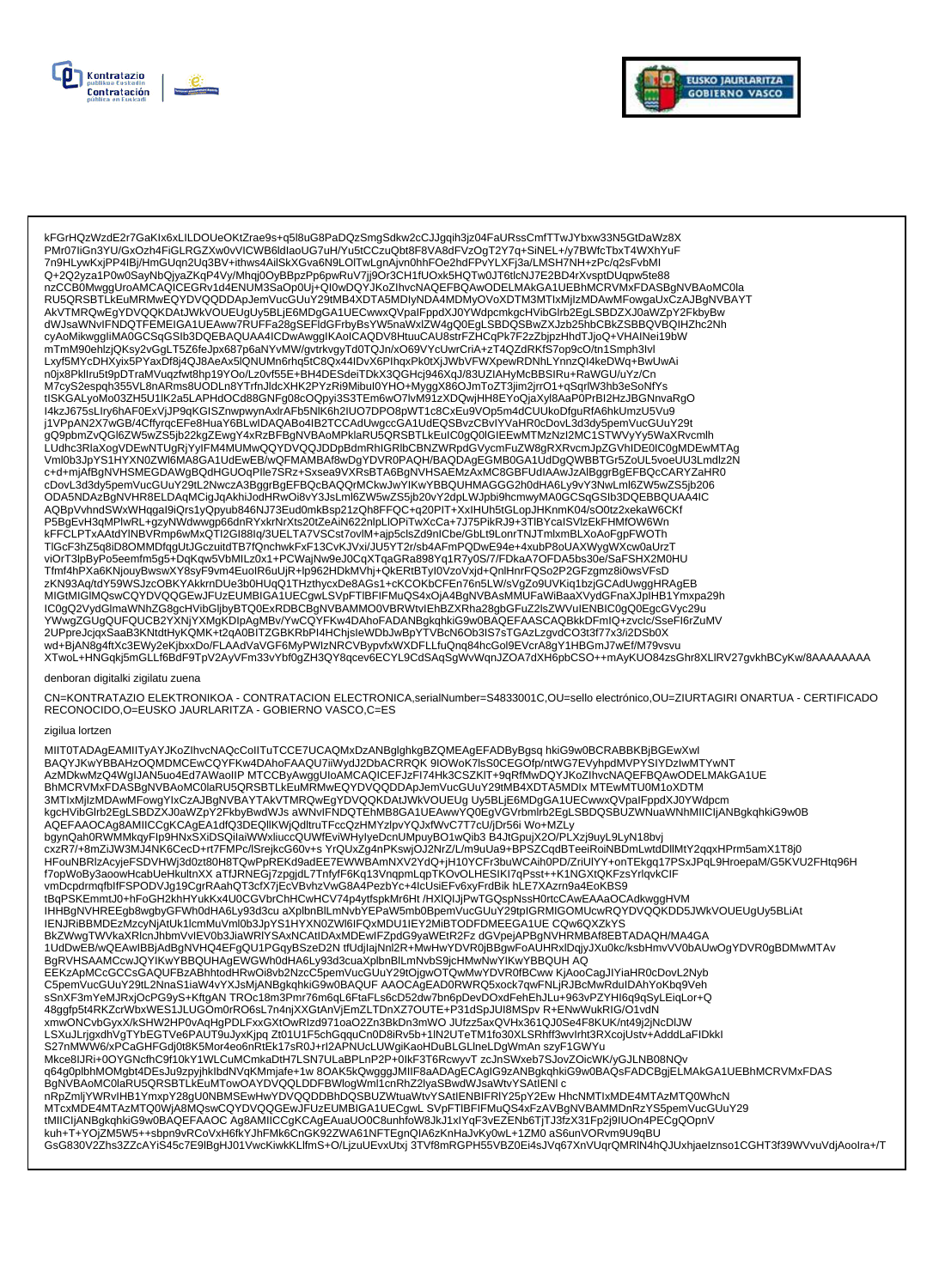



kFGrHQzWzdE2r7GaKIx6xLILDOUeOKtZrae9s+q5l8uG8PaDQzSmgSdkw2cCJJgqih3jz04FaURssCmfTTwJYbxw33N5GtDaWz8X PMr07liGn3YU/GxOzh4FiGLRGZXw0vVICWB6ldlaoUG7uH/Yu5tCCzuQbt8F8VA8dFVzOqT2Y7q+SiNEL+/y7BWfcTbxT4WXhYuF - mini including the state of the state of the state of the state of the state of the state of the state of the state of the construction of the state of the construction of the construction of the construction of the cons nzCCB0MwggUroAMCAQICEGRv1d4ENUM3SaOp0Uj+Ql0wDQYJKoZlhvcNAQEFBQAwODELMAkGA1UEBhMCRVMxFDASBgNVBAoMC0la RU5QRSBTLKEuMRMwEQYDVQQDDApJemVucGUuY29tMB4XDTA5MDIyNDA4MDMyOVoXDTM3MTIxMjIzMDAwMFowgaUxCzAJBgNVBAYT NUSTAN CONDENSIVE OF DESCRIPTION AND DECISION OF THE CONDENSIVE AND THE PROXIMITY OF THE RESERVED TO THE CONDENSIVE OF THE PROXIMITY OF THE RESERVED TO THE CONDENSIVE AND THE CONDENSIVE OF THE PROXIMITY OF THE RESERVED TO Lxyf5MYcDHXyix5PYaxDf8j4QJ8AeAx5lQNUMn6rhq5tC8Qx44IDvX6PlhqxPk0tXjJWbVFWXpewRDNhLYnnzQl4keDWq+BwUwAi n0jx8Pkllru5t9pDTraMVuqzfwt8hp19YOo/Lz0vf55E+BH4DESdeiTDkX3QGHcj946XqJ/83UZIAHyMcBBSIRu+RaWGU/uYz/Cn M7cyS2espqh355VL8nARms8UODLn8YTrfnJldcXHK2PYzRi9Mibul0YHO+MyggX86OJmToZT3jim2jrrO1+qSqrlW3hb3eSoNfYs tISKGALyoMo03ZH5U1IK2a5LAPHdOCd88GNFg08cOQpyi3S3TEm6wO7lvM91zXDQwjHH8EYoQjaXyI8AaP0PrBI2HzJBGNnvaRgO 14kzJ675sL1ry6hAF0ExVjJP9qKGISZnwpwynAxirAFb5NIK6h2IUO7DPO8pWT1c8CxEu9VOp5m4dCUUkoDfguRfA6hkUmzU5Vu9<br>j1VPpAN2X7wGB/4CffyrqcEFe8HuaY6BLwIDAQABo4IB2TCCAdUwgccGA1UdEQSBvzCBvIYVaHR0cDovL3d3dy5pemVucGUuY29t yrv=pAnz∧rwob/%Delet=enuarob.com/maxAbu4HDz+CCAu0wgccoArruuteGbRDxCDrP/DamNcDovE3030ypermvucourzyr<br>gQ9pbmZvQGl6ZW5wZS5jb22kgZEwgY4xRzBFBgNVBAoMPklaRU5QRSBTLkEuIC0gQ0lGIEEwMTMzNzI2MC1STWVyYy5WaXRvcmlh<br>LUdhc3RlaXogVDEwNTUg - CONNOCATE TRANSPORT AND THE RELATIONS OF A MANUSCRIPTION OF A CONTROL OF A CONDUCT AND THE RELATIONS OF A CONDUCT AND A CONDUCT AND A CONDUCT AND A CONDUCT AND A CONDUCT ON A CONDUCT OF SAMPLE OF SAMPLE OF SAMPLE AND CAL cDovL3d3dy5pemVucGUuY29tL2NwczA3BggrBgEFBQcBAQQrMCkwJwYiKwYBBQUHMAGGG2h0dHA6Ly9vY3NwLml6ZW5wZS5jb206 ODA5NDAzBgNVHR8ELDAqMCigJqAkhiJodHRwOi8vY3JsLml6ZW5wZS5jb20vY2dpLWJpbi9hcmwyMA0GCSqGSlb3DQEBBQUAA4IC AQBpVvhndSWxWHqgal9iQrs1yQpyub846NJ73Eud0mkBsp21zQh8FFQC+q20PIT+XxIHUh5tGLopJHKnmK04/sO0tz2xekaW6CKf<br>P5BgEvH3qMPlwRL+gzyNWdwwgp66dnRYxkrNrXts20tZeAiN622nlpLlOPiTwXcCa+7J75PikRJ9+3TlBYcalSVlzEkFHMfOW6Wn , επερευτογραφή των ευτερχείνων προσωπική επιτροποιεία της προσωπικής του προσωπικού του προσωπικού του του το<br>- ΚΕΡΟΣΕΡΤΧΑΑΙαΥΙΝΒΥΡΩΡΩΡΩΝΩΤΙ2GI88Iq/3UELTA7VSCst7ovIM+ajp5clsZd9nICbe/GbLt9LonrTNJTmlxmBLXoAoFgpFWOTh<br>- TIG viOrT3lpByPo5eemfm5g5+DqKqw5VbMILz0x1+PCWajNw9eJ0CqXTqaGRa898Yq1R7y0S/7/FDkaA7OFDA5bs30e/SaFSHX2M0HU Tfmf4hPXa6KNjouyBwswXY8syF9vm4EuoIR6uUjR+lp962HDkMVhj+QkERtBTyI0VzoVxjd+QnlHnrFQSo2P2GFzgmz8i0wsVFsD zKN93Aq/tdY59WSJzcOBKYAKkrnDUe3b0HUqQ1THzthycxDe8AGs1+cKCOKbCFEn76n5LW/sVgZo9UVKiq1bzjGCAdUwggHRAgEB MIGtMIGIMQswCQYDVQQGEwJFUzEUMBIGA1UECgwLSVpFTIBFIFMuQS4xOjA4BgNVBAsMMUFaWiBaaXVydGFnaXJpIHB1Ymxpa29h MUSING AND THE ANNOUNCED TRANSPORT OF THE ANNOUNCED TRANSPORT OF THE ANNEXATOR CONSUMING TRANSPORT OF THE AND TRANSPORT OF THE ANNOUNCED TRANSPORT OF THE ANNOUNCED TRANSPORT OF THE ANNOUNCED TRANSPORT OF THE ANNOUNCED TRAN XTwoL+HNGqkj5mGLLf6BdF9TpV2AyVFm33vYbf0gZH3QY8qcev6ECYL9CdSAqSgWvWqnJZOA7dXH6pbCSO++mAyKUO84zsGhr8XLlRV27gvkhBCyKw/8AAAAAAAA

#### enboran digitalki zigilatu zuena

CN=KONTRATAZIO ELEKTRONIKOA - CONTRATACION ELECTRONICA,serialNumber=S4833001C,OU=sello electrónico,OU=ZIURTAGIRI ONARTUA - CERTIFICADO RECONOCIDO, O=EUSKO JAURLARITZA - GOBIERNO VASCO, C=ES

#### zigilua lortzen

MIIT0TADAgEAMIITyAYJKoZIhvcNAQcCoIITuTCCE7UCAQMxDzANBglghkgBZQMEAgEFADByBgsq hkiG9w0BCRABBKBjBGEwXwl BAQYJKWYBBAHzOQMDMCEwCQYFKw4DAhoFAAQU7iiWydJ2DbACRRQK9IOWoK7lsS0CEGOfp/ntWG7EVyhpdMVPYSIYDzIwMTYwNT<br>AzMDkwMzQ4WgIJAN5uo4Ed7AWaoIIP MTCCByAwggUloAMCAQICEFJzFI74Hk3CSZKIT+9qRfMwDQYJKoZIhvcNAQEFBQAwODELMAkGA1UE AQEFAAOCAg8AMIICCgKCAgEA1dfQ3DEQIIKWjQdltruTFccQzHMYzlpvYQJxfWvC7T7cU/jDr56i Wo+MZLy bgynQah0RWMMkqyFlp9HNxSXiDSQilaiWWxliuccQUWfEviWHyIyeDcnUMpuyBO1wQib3 B4JtGpujX2O/PLXzj9uyL9LyN18bvj cxzR7/+8mZiJW3MJ4NK6CecD+rt7FMPc/lSrejkcG60v+s YrQUxZg4nPKswjOJ2NrZ/L/m9uUa9+BPSZCqdBTeeiRoINBDmLwtdDllMtY2qqxHPrm5amX1T8j0 HFouNBRIzAcyjeFSDVHWj3d0zt80H8TQwPpREKd9adEE7EWWBAmNXV2YdQ+jH10YCFr3buWCAih0PD/ZriUIYY+onTEkgq17PSxJPqL9HroepaM/G5KVU2FHtq96H f7opWoBy3aoowHcabUeHkultnXX aTfJRNEGj7zpgjdL7TnfyfF6Kq13VnqpmLqpTKOvOLHESIKI7qPsst++K1NGXtQKFzsYrlqvkClF<br>vmDcpdrmqfblfFSPODVJg19CgrRAahQT3cfX7jEcVBvhzVwG8A4PezbYc+4lcUsiEFv6xyFrdBik hLE7XAzm9a4EoKBS9 tBqPSKEmmtJ0+hFoGH2khHYukKx4U0CGVbrChHCwHCV74p4ytfspkMr6Ht/HXIQIJjPwTGQspNssH0rtcCAwEAAaOCAdkwggHVM IHHBgNVHREEgb8wgbyGFWh0dHA6Ly93d3cu aXplbnBlLmNvbYEPaW5mb0BpemVucGUuY29tpIGRMIGOMUcwRQYDVQQKDD5JWkVOUEUgUy5BLiAt IENJRIBBMDEzMzcyNjAtUk1lcmMuVml0b3JpYS1HYXN0ZWI6IFQxMDU1IEY2MiBTODFDMEEGA1UE CQw6QXZkYS BkZWwgTWVkaXRlcnJhbmVvlEV0b3JiaWRIYSAxNCAtIDAxMDEwIFZpdG9yaWEtR2Fz dGVpejAPBgNVHRMBAf8EBTADAQH/MA4GA 1UdDwEB/wQEAwIBBjAdBgNVHQ4EFgQU1PGqyBSzeD2N tfUdjIajNnl2R+MwHwYDVR0jBBgwFoAUHRxlDqjyJXu0kc/ksbHmvVV0bAUwOgYDVR0gBDMwMTAv BgRVHSAAMCcwJQYIKwYBBQUHAgEWGWh0dHA6Ly93d3cuaXplbnBlLmNvbS9jcHMwNwYIKwYBBQUHAQ EEKzApMCcGCCsGAQUFBzABhhtodHRwOi8vb2NzcC5pemVucGUuY29tOjgwOTQwMwYDVR0fBCww KjAooCagJlYiaHR0cDovL2Nyb 48ggfp5t4RKZcrWbxWES1JLUGOm0rRO6sL7n4njXXGtAnVjEmZLTDnXZ7OUTE+P31dSpJUl8MSpvR+ENwWukRIG/O1vdN xmwONCvbGyxX/kSHW2HP0vAqHgPDLFxxGXtOwRIzd971oaO2Zn3BkDn3mWOJUfzz5axQVHx361QJ0Se4F8KUK/nt49j2jNcDIJW LAXuJLrjgxdhVgTYbEGTVe6PAUT9uJyxKjpq Zt01U1F5chGqquCn0D8iRv5b+1IN2UTeTM1fo30XLSRhff3wvIrht3RXcojUstv+AdddLaFIDkkl<br>S27nMWW6/xPCaGHFGdj0t8K5Mor4eo6nRtEk17sR0J+rl2APNUcLUWgiKaoHDuBLGLIneLDgWmAn szyF1GWYu MTcxMDE4MTAzMTQ0WjA8MQswCQYDVQQGEwJFUzEUMBIGA1UECgwLSVpFTIBFIFMuQS4xFzAVBgNVBAMMDnRzYS5pemVucGUuY29 tMIICIjANBgkqhkiG9w0BAQEFAAOC Ag8AMIICCgKCAgEAuaUO0C8unhfoW8JkJ1xIYqF3vEZENb6TjTJ3fzX31Fp2j9IUOn4PECgQOpnV kuh+T+YOjZM5W5++sbpn9vRCoVxH6fkYJhFMk6CnGK92ZWA61NFTEgnQIA6zKnHaJvKy0wL+1ZM0 aS6unVORvm9U9qBU GsG830V2Zhs3ZZcAYiS45c7E9lBgHJ01VwcKiwkKLlfmS+O/LjzuUEvxUtxj 3TVf8mRGPH55VBZ0Ei4sJVq67XnVUqrQMRIN4hQJUxhjaelznso1CGHT3f39WVvuVdjAooIra+/T